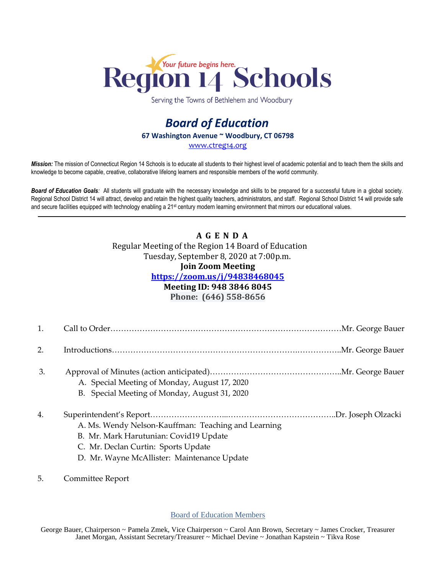

Serving the Towns of Bethlehem and Woodbury

# *Board of Education* **67 Washington Avenue ~ Woodbury, CT 06798** [www.ctreg14.org](http://www.ctreg14.org/)

*Mission:* The mission of Connecticut Region 14 Schools is to educate all students to their highest level of academic potential and to teach them the skills and knowledge to become capable, creative, collaborative lifelong learners and responsible members of the world community.

*Board of Education Goals:* All students will graduate with the necessary knowledge and skills to be prepared for a successful future in a global society. Regional School District 14 will attract, develop and retain the highest quality teachers, administrators, and staff. Regional School District 14 will provide safe and secure facilities equipped with technology enabling a 21<sup>st</sup> century modern learning environment that mirrors our educational values.

## **A G E N D A** Regular Meeting of the Region 14 Board of Education Tuesday, September 8, 2020 at 7:00p.m.

### **Join Zoom Meeting**

#### **<https://zoom.us/j/94838468045>**

### **Meeting ID: 948 3846 8045**

**Phone: (646) 558-8656**

2. Introductions…………………………………………………………….……………..Mr. George Bauer

- 3. Approval of Minutes (action anticipated)…………………………………………..Mr. George Bauer A. Special Meeting of Monday, August 17, 2020
	- B. Special Meeting of Monday, August 31, 2020
- 4. Superintendent's Report………………………...…………………………………..Dr. Joseph Olzacki A. Ms. Wendy Nelson-Kauffman: Teaching and Learning
	- B. Mr. Mark Harutunian: Covid19 Update
	- C. Mr. Declan Curtin: Sports Update
	- D. Mr. Wayne McAllister: Maintenance Update
- 5. Committee Report

Board of Education Members

George Bauer, Chairperson ~ Pamela Zmek, Vice Chairperson ~ Carol Ann Brown, Secretary ~ James Crocker, Treasurer Janet Morgan, Assistant Secretary/Treasurer ~ Michael Devine ~ Jonathan Kapstein ~ Tikva Rose